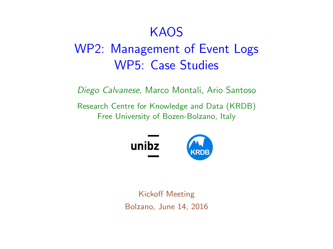#### **KAOS**

# <span id="page-0-0"></span>WP2: Management of Event Logs WP5: Case Studies

Diego Calvanese, Marco Montali, Ario Santoso

Research Centre for Knowledge and Data (KRDB) Free University of Bozen-Bolzano, Italy



Kickoff Meeting Bolzano, June 14, 2016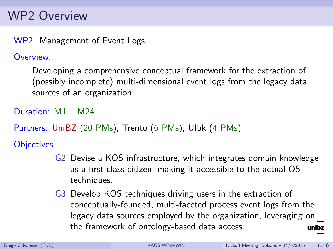### WP2 Overview

WP2: Management of Event Logs

Overview:

Developing a comprehensive conceptual framework for the extraction of (possibly incomplete) multi-dimensional event logs from the legacy data sources of an organization.

Duration: M1 – M24

Partners: UniBZ (20 PMs), Trento (6 PMs), UIbk (4 PMs)

**Objectives** 

- G2 Devise a KOS infrastructure, which integrates domain knowledge as a first-class citizen, making it accessible to the actual OS techniques.
- G3 Develop KOS techniques driving users in the extraction of conceptually-founded, multi-faceted process event logs from the legacy data sources employed by the organization, leveraging on the framework of ontology-based data access. unibz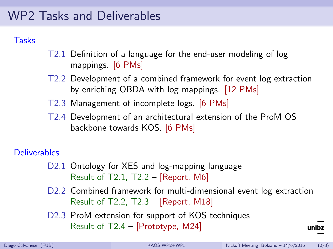### WP2 Tasks and Deliverables

#### **Tasks**

- T2.1 Definition of a language for the end-user modeling of log mappings. [6 PMs]
- T2.2 Development of a combined framework for event log extraction by enriching OBDA with log mappings. [12 PMs]
- T2.3 Management of incomplete logs. [6 PMs]
- T2.4 Development of an architectural extension of the ProM OS backbone towards KOS. [6 PMs]

#### **Deliverables**

- D2.1 Ontology for XES and log-mapping language Result of T2.1, T2.2 – [Report, M6]
- D2.2 Combined framework for multi-dimensional event log extraction Result of T2.2, T2.3 – [Report, M18]
- D2.3 ProM extension for support of KOS techniques Result of T2.4 – [Prototype, M24]